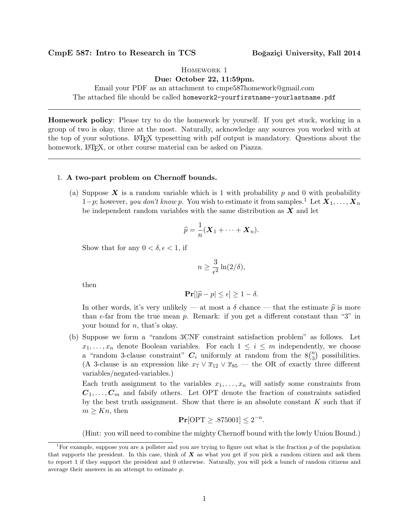## CmpE 587: Intro to Research in TCS Boğaziçi University, Fall 2014

Homework 1

Due: October 22, 11:59pm.

Email your PDF as an attachment to cmpe587homework@gmail.com The attached file should be called homework2-yourfirstname-yourlastname.pdf

Homework policy: Please try to do the homework by yourself. If you get stuck, working in a group of two is okay, three at the most. Naturally, acknowledge any sources you worked with at the top of your solutions. LATEX typesetting with pdf output is mandatory. Questions about the homework, LAT<sub>EX</sub>, or other course material can be asked on Piazza.

## 1. A two-part problem on Chernoff bounds.

(a) Suppose  $\boldsymbol{X}$  is a random variable which is 1 with probability p and 0 with probability  $1-p$ ; however, you don't know p. You wish to estimate it from samples.<sup>1</sup> Let  $X_1, \ldots, X_n$ be independent random variables with the same distribution as  $X$  and let

$$
\widehat{p} = \frac{1}{n}(\mathbf{X}_1 + \cdots + \mathbf{X}_n).
$$

Show that for any  $0 < \delta, \epsilon < 1$ , if

$$
n \ge \frac{3}{\epsilon^2} \ln(2/\delta),
$$

then

$$
\mathbf{Pr}[|\widehat{p} - p| \leq \epsilon] \geq 1 - \delta.
$$

In other words, it's very unlikely — at most a  $\delta$  chance — that the estimate  $\hat{p}$  is more than  $\epsilon$ -far from the true mean p. Remark: if you get a different constant than "3" in your bound for n, that's okay.

(b) Suppose we form a "random 3CNF constraint satisfaction problem" as follows. Let  $x_1, \ldots, x_n$  denote Boolean variables. For each  $1 \leq i \leq m$  independently, we choose a "random 3-clause constraint"  $C_i$  uniformly at random from the  $8\binom{n}{3}$  $n_3$ ) possibilities. (A 3-clause is an expression like  $x_7 \vee \overline{x}_{12} \vee \overline{x}_{85}$  — the OR of exactly three different variables/negated-variables.)

Each truth assignment to the variables  $x_1, \ldots, x_n$  will satisfy some constraints from  $C_1, \ldots, C_m$  and falsify others. Let OPT denote the fraction of constraints satisfied by the best truth assignment. Show that there is an absolute constant  $K$  such that if  $m \geq Kn$ , then

$$
\Pr[\text{OPT} \geq .875001] \leq 2^{-n}.
$$

(Hint: you will need to combine the mighty Chernoff bound with the lowly Union Bound.)

<sup>&</sup>lt;sup>1</sup>For example, suppose you are a pollster and you are trying to figure out what is the fraction  $p$  of the population that supports the president. In this case, think of  $X$  as what you get if you pick a random citizen and ask them to report 1 if they support the president and 0 otherwise. Naturally, you will pick a bunch of random citizens and average their answers in an attempt to estimate p.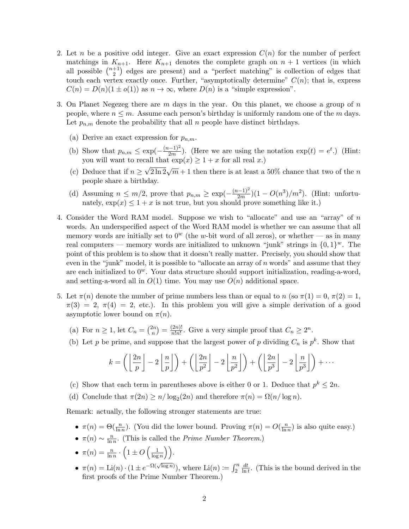- 2. Let n be a positive odd integer. Give an exact expression  $C(n)$  for the number of perfect matchings in  $K_{n+1}$ . Here  $K_{n+1}$  denotes the complete graph on  $n+1$  vertices (in which all possible  $\binom{n+1}{2}$  $\binom{+1}{2}$  edges are present) and a "perfect matching" is collection of edges that touch each vertex exactly once. Further, "asymptotically determine"  $C(n)$ ; that is, express  $C(n) = D(n)(1 \pm o(1))$  as  $n \to \infty$ , where  $D(n)$  is a "simple expression".
- 3. On Planet Negezeg there are  $m$  days in the year. On this planet, we choose a group of  $n$ people, where  $n \leq m$ . Assume each person's birthday is uniformly random one of the m days. Let  $p_{n,m}$  denote the probability that all n people have distinct birthdays.
	- (a) Derive an exact expression for  $p_{n,m}$ .
	- (b) Show that  $p_{n,m} \leq \exp(-\frac{(n-1)^2}{2m})$  $\frac{(-1)^2}{2m}$ ). (Here we are using the notation  $\exp(t) = e^t$ .) (Hint: you will want to recall that  $\exp(x) \geq 1 + x$  for all real x.) √
	- (c) Deduce that if  $n \geq \sqrt{2\ln 2}\sqrt{m} + 1$  then there is at least a 50% chance that two of the n people share a birthday.
	- (d) Assuming  $n \leq m/2$ , prove that  $p_{n,m} \geq \exp(-\frac{(n-1)^2}{2m})$  $\frac{(n-1)^2}{2m}$  $(1 - O(n^3)/m^2)$ . (Hint: unfortunately,  $\exp(x) \leq 1 + x$  is not true, but you should prove something like it.)
- 4. Consider the Word RAM model. Suppose we wish to "allocate" and use an "array" of n words. An underspecified aspect of the Word RAM model is whether we can assume that all memory words are initially set to  $0^w$  (the w-bit word of all zeros), or whether — as in many real computers — memory words are initialized to unknown "junk" strings in  $\{0,1\}^w$ . The point of this problem is to show that it doesn't really matter. Precisely, you should show that even in the "junk" model, it is possible to "allocate an array of  $n$  words" and assume that they are each initialized to  $0^w$ . Your data structure should support initialization, reading-a-word, and setting-a-word all in  $O(1)$  time. You may use  $O(n)$  additional space.
- 5. Let  $\pi(n)$  denote the number of prime numbers less than or equal to n (so  $\pi(1) = 0, \pi(2) = 1$ ,  $\pi(3) = 2, \pi(4) = 2$ , etc.). In this problem you will give a simple derivation of a good asymptotic lower bound on  $\pi(n)$ .
	- (a) For  $n \geq 1$ , let  $C_n = \binom{2n}{n}$  $\binom{2n}{n} = \frac{(2n)!}{n!n!}$  $\frac{(2n)!}{n!n!}$ . Give a very simple proof that  $C_n \geq 2^n$ .
	- (b) Let p be prime, and suppose that the largest power of p dividing  $C_n$  is  $p^k$ . Show that

$$
k = \left( \left\lfloor \frac{2n}{p} \right\rfloor - 2\left\lfloor \frac{n}{p} \right\rfloor \right) + \left( \left\lfloor \frac{2n}{p^2} \right\rfloor - 2\left\lfloor \frac{n}{p^2} \right\rfloor \right) + \left( \left\lfloor \frac{2n}{p^3} \right\rfloor - 2\left\lfloor \frac{n}{p^3} \right\rfloor \right) + \cdots
$$

- (c) Show that each term in parentheses above is either 0 or 1. Deduce that  $p^k \leq 2n$ .
- (d) Conclude that  $\pi(2n) \ge n/\log_2(2n)$  and therefore  $\pi(n) = \Omega(n/\log n)$ .

Remark: actually, the following stronger statements are true:

- $\pi(n) = \Theta(\frac{n}{\ln n})$ . (You did the lower bound. Proving  $\pi(n) = O(\frac{n}{\ln n})$  $\frac{n}{\ln n}$ ) is also quite easy.)
- $\pi(n) \sim \frac{n}{\ln n}$  $\frac{n}{\ln n}$ . (This is called the *Prime Number Theorem.*)
- $\bullet \ \pi(n) = \frac{n}{\ln n} \cdot \left(1 \pm O\left(\frac{1}{\log n}\right)\right)$  $\frac{1}{\log n}\Big)\Big).$
- $\pi(n) = \text{Li}(n) \cdot (1 \pm e^{-\Omega(\sqrt{\log n})}),$  where  $\text{Li}(n) \coloneqq \int_2^n$ dt  $\frac{dt}{\ln t}$ . (This is the bound derived in the first proofs of the Prime Number Theorem.)